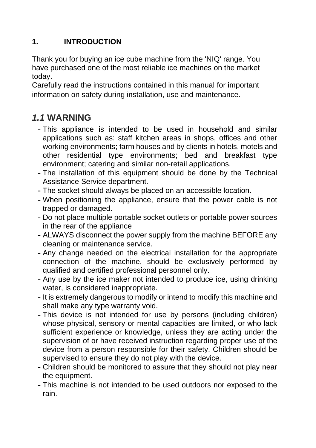# **1. INTRODUCTION**

Thank you for buying an ice cube machine from the 'NIQ' range. You have purchased one of the most reliable ice machines on the market today.

Carefully read the instructions contained in this manual for important information on safety during installation, use and maintenance.

# *1.1* **WARNING**

- This appliance is intended to be used in household and similar applications such as: staff kitchen areas in shops, offices and other working environments; farm houses and by clients in hotels, motels and other residential type environments; bed and breakfast type environment; catering and similar non-retail applications.
- The installation of this equipment should be done by the Technical Assistance Service department.
- The socket should always be placed on an accessible location.
- When positioning the appliance, ensure that the power cable is not trapped or damaged.
- Do not place multiple portable socket outlets or portable power sources in the rear of the appliance
- ALWAYS disconnect the power supply from the machine BEFORE any cleaning or maintenance service.
- Any change needed on the electrical installation for the appropriate connection of the machine, should be exclusively performed by qualified and certified professional personnel only.
- Any use by the ice maker not intended to produce ice, using drinking water, is considered inappropriate.
- It is extremely dangerous to modify or intend to modify this machine and shall make any type warranty void.
- This device is not intended for use by persons (including children) whose physical, sensory or mental capacities are limited, or who lack sufficient experience or knowledge, unless they are acting under the supervision of or have received instruction regarding proper use of the device from a person responsible for their safety. Children should be supervised to ensure they do not play with the device.
- Children should be monitored to assure that they should not play near the equipment.
- This machine is not intended to be used outdoors nor exposed to the rain.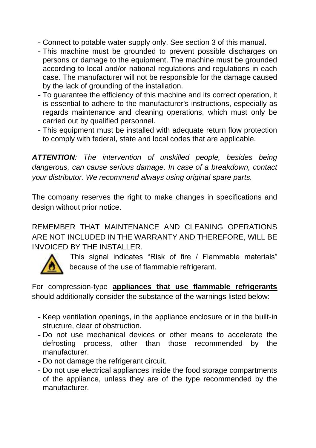- Connect to potable water supply only. See section 3 of this manual.
- This machine must be grounded to prevent possible discharges on persons or damage to the equipment. The machine must be grounded according to local and/or national regulations and regulations in each case. The manufacturer will not be responsible for the damage caused by the lack of grounding of the installation.
- To guarantee the efficiency of this machine and its correct operation, it is essential to adhere to the manufacturer's instructions, especially as regards maintenance and cleaning operations, which must only be carried out by qualified personnel.
- This equipment must be installed with adequate return flow protection to comply with federal, state and local codes that are applicable.

*ATTENTION: The intervention of unskilled people, besides being dangerous, can cause serious damage. In case of a breakdown, contact your distributor. We recommend always using original spare parts.*

The company reserves the right to make changes in specifications and design without prior notice.

REMEMBER THAT MAINTENANCE AND CLEANING OPERATIONS ARE NOT INCLUDED IN THE WARRANTY AND THEREFORE, WILL BE INVOICED BY THE INSTALLER.



 This signal indicates "Risk of fire / Flammable materials" because of the use of flammable refrigerant.

For compression-type **appliances that use flammable refrigerants** should additionally consider the substance of the warnings listed below:

- Keep ventilation openings, in the appliance enclosure or in the built-in structure, clear of obstruction.
- Do not use mechanical devices or other means to accelerate the defrosting process, other than those recommended by the manufacturer.
- Do not damage the refrigerant circuit.
- Do not use electrical appliances inside the food storage compartments of the appliance, unless they are of the type recommended by the manufacturer.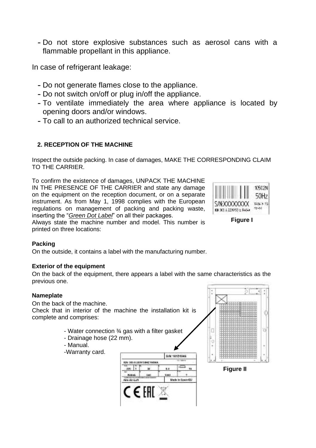- Do not store explosive substances such as aerosol cans with a flammable propellant in this appliance.

In case of refrigerant leakage:

- Do not generate flames close to the appliance.
- Do not switch on/off or plug in/off the appliance.
- To ventilate immediately the area where appliance is located by opening doors and/or windows.
- To call to an authorized technical service.

# **2. RECEPTION OF THE MACHINE**

Inspect the outside packing. In case of damages, MAKE THE CORRESPONDING CLAIM TO THE CARRIER.

To confirm the existence of damages, UNPACK THE MACHINE IN THE PRESENCE OF THE CARRIER and state any damage on the equipment on the reception document, or on a separate instrument. As from May 1, 1998 complies with the European regulations on management of packing and packing waste, inserting the "*Green Dot Label*" on all their packages.



Always state the machine number and model. This number is printed on three locations:

## **Figure I**

## **Packing**

On the outside, it contains a label with the manufacturing number.

## **Exterior of the equipment**

On the back of the equipment, there appears a label with the same characteristics as the previous one.

## **Nameplate**

On the back of the machine. Check that in interior of the machine the installation kit is complete and comprises:

- Water connection ¾ gas with a filter gasket
- Drainage hose (22 mm).
- Manual.
- -Warranty card.





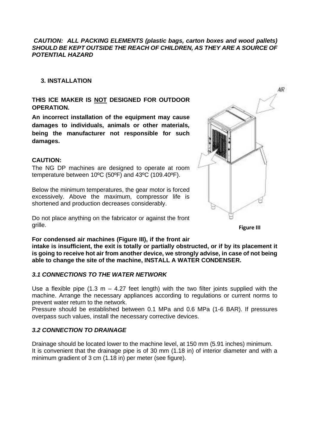#### *CAUTION: ALL PACKING ELEMENTS (plastic bags, carton boxes and wood pallets) SHOULD BE KEPT OUTSIDE THE REACH OF CHILDREN, AS THEY ARE A SOURCE OF POTENTIAL HAZARD*

#### **3. INSTALLATION**

#### **THIS ICE MAKER IS NOT DESIGNED FOR OUTDOOR OPERATION.**

**An incorrect installation of the equipment may cause damages to individuals, animals or other materials, being the manufacturer not responsible for such damages.** 

#### **CAUTION:**

The NG DP machines are designed to operate at room temperature between 10ºC (50ºF) and 43ºC (109.40ºF).

Below the minimum temperatures, the gear motor is forced excessively. Above the maximum, compressor life is shortened and production decreases considerably.

Do not place anything on the fabricator or against the front grille.

**For condensed air machines (Figure III), if the front air** 

**intake is insufficient, the exit is totally or partially obstructed, or if by its placement it is going to receive hot air from another device, we strongly advise, in case of not being able to change the site of the machine, INSTALL A WATER CONDENSER.**

#### *3.1 CONNECTIONS TO THE WATER NETWORK*

Use a flexible pipe  $(1.3 \text{ m} - 4.27 \text{ feet length})$  with the two filter joints supplied with the machine. Arrange the necessary appliances according to regulations or current norms to prevent water return to the network.

Pressure should be established between 0.1 MPa and 0.6 MPa (1-6 BAR). If pressures overpass such values, install the necessary corrective devices.

#### *3.2 CONNECTION TO DRAINAGE*

Drainage should be located lower to the machine level, at 150 mm (5.91 inches) minimum. It is convenient that the drainage pipe is of 30 mm (1.18 in) of interior diameter and with a minimum gradient of 3 cm (1.18 in) per meter (see figure).



**Figure III**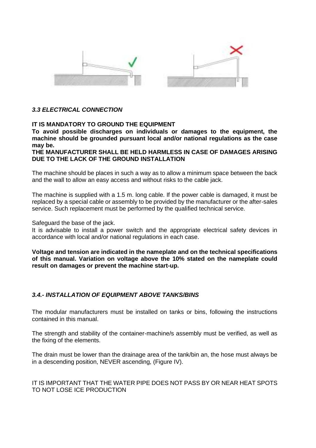

### *3.3 ELECTRICAL CONNECTION*

#### **IT IS MANDATORY TO GROUND THE EQUIPMENT**

**To avoid possible discharges on individuals or damages to the equipment, the machine should be grounded pursuant local and/or national regulations as the case may be.**

**THE MANUFACTURER SHALL BE HELD HARMLESS IN CASE OF DAMAGES ARISING DUE TO THE LACK OF THE GROUND INSTALLATION**

The machine should be places in such a way as to allow a minimum space between the back and the wall to allow an easy access and without risks to the cable jack.

The machine is supplied with a 1.5 m. long cable. If the power cable is damaged, it must be replaced by a special cable or assembly to be provided by the manufacturer or the after-sales service. Such replacement must be performed by the qualified technical service.

Safeguard the base of the jack.

It is advisable to install a power switch and the appropriate electrical safety devices in accordance with local and/or national regulations in each case.

**Voltage and tension are indicated in the nameplate and on the technical specifications of this manual. Variation on voltage above the 10% stated on the nameplate could result on damages or prevent the machine start-up.**

#### *3.4.- INSTALLATION OF EQUIPMENT ABOVE TANKS/BINS*

The modular manufacturers must be installed on tanks or bins, following the instructions contained in this manual.

The strength and stability of the container-machine/s assembly must be verified, as well as the fixing of the elements.

The drain must be lower than the drainage area of the tank/bin an, the hose must always be in a descending position, NEVER ascending, (Figure IV).

## IT IS IMPORTANT THAT THE WATER PIPE DOES NOT PASS BY OR NEAR HEAT SPOTS TO NOT LOSE ICE PRODUCTION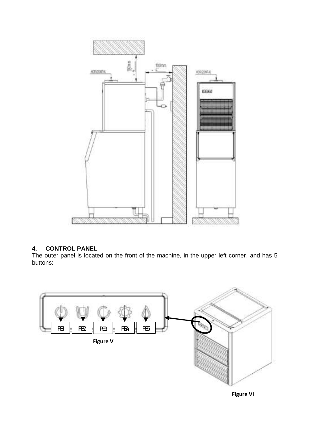

# **4. CONTROL PANEL**

The outer panel is located on the front of the machine, in the upper left corner, and has 5 buttons:



**Figure VI**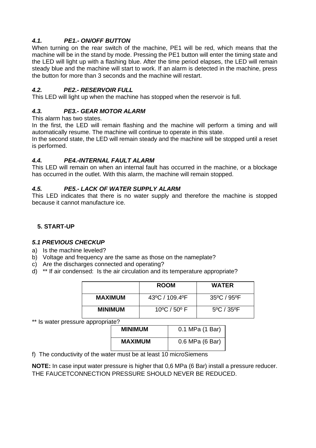# *4.1. PE1.- ON/OFF BUTTON*

When turning on the rear switch of the machine, PE1 will be red, which means that the machine will be in the stand by mode. Pressing the PE1 button will enter the timing state and the LED will light up with a flashing blue. After the time period elapses, the LED will remain steady blue and the machine will start to work. If an alarm is detected in the machine, press the button for more than 3 seconds and the machine will restart.

# *4.2. PE2.- RESERVOIR FULL*

This LED will light up when the machine has stopped when the reservoir is full.

# *4.3. PE3.- GEAR MOTOR ALARM*

This alarm has two states.

In the first, the LED will remain flashing and the machine will perform a timing and will automatically resume. The machine will continue to operate in this state.

In the second state, the LED will remain steady and the machine will be stopped until a reset is performed.

## *4.4. PE4.-INTERNAL FAULT ALARM*

This LED will remain on when an internal fault has occurred in the machine, or a blockage has occurred in the outlet. With this alarm, the machine will remain stopped.

## *4.5. PE5.- LACK OF WATER SUPPLY ALARM*

This LED indicates that there is no water supply and therefore the machine is stopped because it cannot manufacture ice.

# **5. START-UP**

## *5.1 PREVIOUS CHECKUP*

- a) Is the machine leveled?
- b) Voltage and frequency are the same as those on the nameplate?
- c) Are the discharges connected and operating?
- d) \*\* If air condensed: Is the air circulation and its temperature appropriate?

|                | <b>ROOM</b>                      | <b>WATER</b> |
|----------------|----------------------------------|--------------|
| <b>MAXIMUM</b> | 43°C / 109.4°F                   | 35°C / 95°F  |
| <b>MINIMUM</b> | $10^{\circ}$ C / 50 $^{\circ}$ F | 5°C / 35°F   |

\*\* Is water pressure appropriate?

| <b>MINIMUM</b> | 0.1 MPa (1 Bar) |
|----------------|-----------------|
| <b>MAXIMUM</b> | 0.6 MPa (6 Bar) |

f) The conductivity of the water must be at least 10 microSiemens

**NOTE:** In case input water pressure is higher that 0,6 MPa (6 Bar) install a pressure reducer. THE FAUCETCONNECTION PRESSURE SHOULD NEVER BE REDUCED.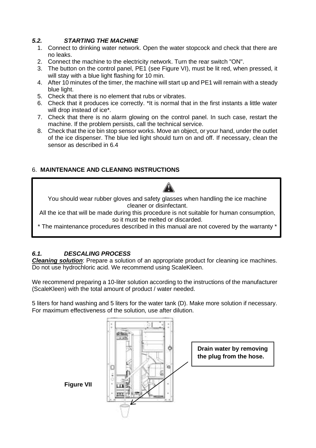# *5.2. STARTING THE MACHINE*

- 1. Connect to drinking water network. Open the water stopcock and check that there are no leaks.
- 2. Connect the machine to the electricity network. Turn the rear switch "ON".
- 3. The button on the control panel, PE1 (see Figure VI), must be lit red, when pressed, it will stay with a blue light flashing for 10 min.
- 4. After 10 minutes of the timer, the machine will start up and PE1 will remain with a steady blue light.
- 5. Check that there is no element that rubs or vibrates.
- 6. Check that it produces ice correctly. \*It is normal that in the first instants a little water will drop instead of ice\*.
- 7. Check that there is no alarm glowing on the control panel. In such case, restart the machine. If the problem persists, call the technical service.
- 8. Check that the ice bin stop sensor works. Move an object, or your hand, under the outlet of the ice dispenser. The blue led light should turn on and off. If necessary, clean the sensor as described in 6.4

# 6. **MAINTENANCE AND CLEANING INSTRUCTIONS**

You should wear rubber gloves and safety glasses when handling the ice machine cleaner or disinfectant.

All the ice that will be made during this procedure is not suitable for human consumption, so it must be melted or discarded.

\* The maintenance procedures described in this manual are not covered by the warranty \*

# *6.1. DESCALING PROCESS*

*Cleaning solution*: Prepare a solution of an appropriate product for cleaning ice machines. Do not use hydrochloric acid. We recommend using ScaleKleen.

We recommend preparing a 10-liter solution according to the instructions of the manufacturer (ScaleKleen) with the total amount of product / water needed.

5 liters for hand washing and 5 liters for the water tank (D). Make more solution if necessary. For maximum effectiveness of the solution, use after dilution.

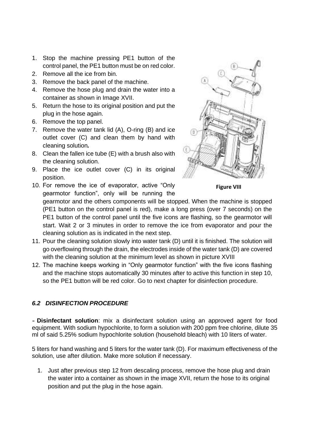- 1. Stop the machine pressing PE1 button of the control panel, the PE1 button must be on red color.
- 2. Remove all the ice from bin.
- 3. Remove the back panel of the machine.
- 4. Remove the hose plug and drain the water into a container as shown in Image XVII.
- 5. Return the hose to its original position and put the plug in the hose again.
- 6. Remove the top panel.
- 7. Remove the water tank lid (A), O-ring (B) and ice outlet cover (C) and clean them by hand with cleaning solution*.*
- 8. Clean the fallen ice tube (E) with a brush also with the cleaning solution.
- 9. Place the ice outlet cover (C) in its original position.
- 10. For remove the ice of evaporator, active "Only gearmotor function", only will be running the



**Figure VIII**

gearmotor and the others components will be stopped. When the machine is stopped (PE1 button on the control panel is red), make a long press (over 7 seconds) on the PE1 button of the control panel until the five icons are flashing, so the gearmotor will start. Wait 2 or 3 minutes in order to remove the ice from evaporator and pour the cleaning solution as is indicated in the next step.

- 11. Pour the cleaning solution slowly into water tank (D) until it is finished. The solution will go overflowing through the drain, the electrodes inside of the water tank (D) are covered with the cleaning solution at the minimum level as shown in picture XVIII
- 12. The machine keeps working in "Only gearmotor function" with the five icons flashing and the machine stops automatically 30 minutes after to active this function in step 10, so the PE1 button will be red color. Go to next chapter for disinfection procedure.

# *6.2 DISINFECTION PROCEDURE*

- **Disinfectant solution**: mix a disinfectant solution using an approved agent for food equipment. With sodium hypochlorite, to form a solution with 200 ppm free chlorine, dilute 35 ml of said 5.25% sodium hypochlorite solution (household bleach) with 10 liters of water.

5 liters for hand washing and 5 liters for the water tank (D). For maximum effectiveness of the solution, use after dilution. Make more solution if necessary.

1. Just after previous step 12 from descaling process, remove the hose plug and drain the water into a container as shown in the image XVII, return the hose to its original position and put the plug in the hose again.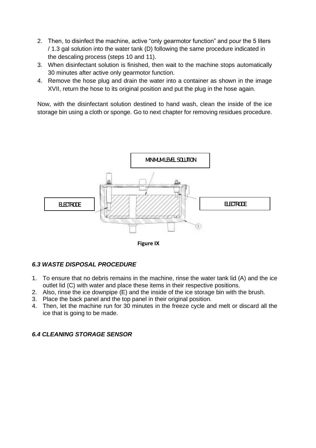- 2. Then, to disinfect the machine, active "only gearmotor function" and pour the 5 liters / 1.3 gal solution into the water tank (D) following the same procedure indicated in the descaling process (steps 10 and 11).
- 3. When disinfectant solution is finished, then wait to the machine stops automatically 30 minutes after active only gearmotor function.
- 4. Remove the hose plug and drain the water into a container as shown in the image XVII, return the hose to its original position and put the plug in the hose again.

Now, with the disinfectant solution destined to hand wash, clean the inside of the ice storage bin using a cloth or sponge. Go to next chapter for removing residues procedure.



**Figure IX**

## *6.3 WASTE DISPOSAL PROCEDURE*

- 1. To ensure that no debris remains in the machine, rinse the water tank lid (A) and the ice outlet lid (C) with water and place these items in their respective positions.
- 2. Also, rinse the ice downpipe (E) and the inside of the ice storage bin with the brush.
- 3. Place the back panel and the top panel in their original position.
- 4. Then, let the machine run for 30 minutes in the freeze cycle and melt or discard all the ice that is going to be made.

# *6.4 CLEANING STORAGE SENSOR*